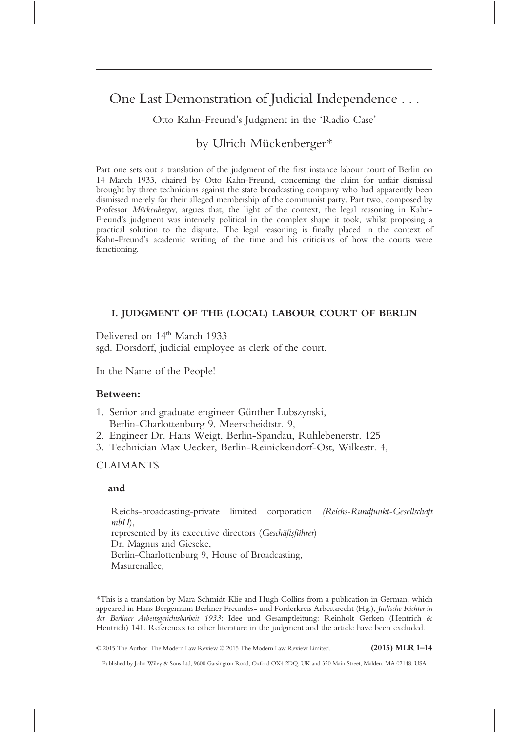# One Last Demonstration of Judicial Independence . . .

Otto Kahn-Freund's Judgment in the 'Radio Case'

# by Ulrich Mückenberger\*

Part one sets out a translation of the judgment of the first instance labour court of Berlin on 14 March 1933, chaired by Otto Kahn-Freund, concerning the claim for unfair dismissal brought by three technicians against the state broadcasting company who had apparently been dismissed merely for their alleged membership of the communist party. Part two, composed by Professor *Mückenberger*, argues that, the light of the context, the legal reasoning in Kahn-Freund's judgment was intensely political in the complex shape it took, whilst proposing a practical solution to the dispute. The legal reasoning is finally placed in the context of Kahn-Freund's academic writing of the time and his criticisms of how the courts were functioning.

# **I. JUDGMENT OF THE (LOCAL) LABOUR COURT OF BERLIN**

Delivered on 14<sup>th</sup> March 1933 sgd. Dorsdorf, judicial employee as clerk of the court.

In the Name of the People!

### **Between:**

- 1. Senior and graduate engineer Günther Lubszynski, Berlin-Charlottenburg 9, Meerscheidtstr. 9,
- 2. Engineer Dr. Hans Weigt, Berlin-Spandau, Ruhlebenerstr. 125
- 3. Technician Max Uecker, Berlin-Reinickendorf-Ost, Wilkestr. 4,

## CLAIMANTS

### **and**

Reichs-broadcasting-private limited corporation *(Reichs-Rundfunkt-Gesellschaft mbH*),

represented by its executive directors (*Geschäftsführer*) Dr. Magnus and Gieseke, Berlin-Charlottenburg 9, House of Broadcasting, Masurenallee,

© 2015 The Author. The Modern Law Review © 2015 The Modern Law Review Limited. **(2015) MLR 1–14**

Published by John Wiley & Sons Ltd, 9600 Garsington Road, Oxford OX4 2DQ, UK and 350 Main Street, Malden, MA 02148, USA

<sup>\*</sup>This is a translation by Mara Schmidt-Klie and Hugh Collins from a publication in German, which appeared in Hans Bergemann Berliner Freundes- und Forderkreis Arbeitsrecht (Hg.), *Judische Richter in der Berliner Arbeitsgerichtsbarbeit 1933*: Idee und Gesamptleitung: Reinholt Gerken (Hentrich & Hentrich) 141. References to other literature in the judgment and the article have been excluded.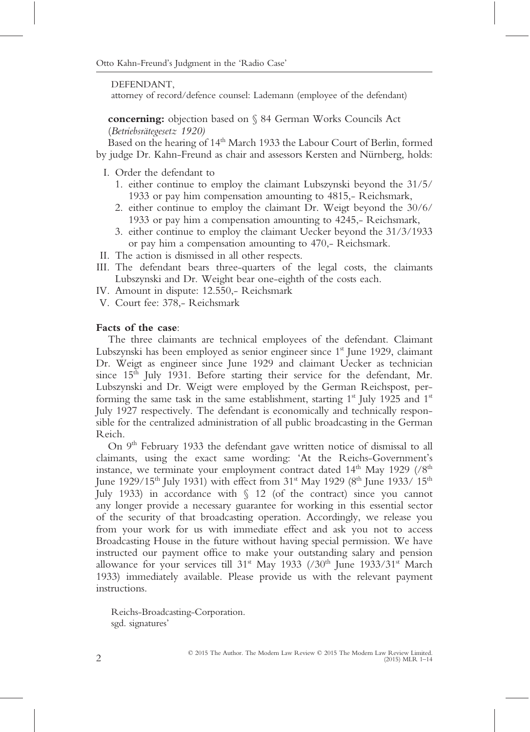### DEFENDANT,

attorney of record/defence counsel: Lademann (employee of the defendant)

**concerning:** objection based on § 84 German Works Councils Act (*Betriebsrätegesetz 1920)*

Based on the hearing of 14<sup>th</sup> March 1933 the Labour Court of Berlin, formed by judge Dr. Kahn-Freund as chair and assessors Kersten and Nürnberg, holds:

### I. Order the defendant to

- 1. either continue to employ the claimant Lubszynski beyond the 31/5/ 1933 or pay him compensation amounting to 4815,- Reichsmark,
- 2. either continue to employ the claimant Dr. Weigt beyond the 30/6/ 1933 or pay him a compensation amounting to 4245,- Reichsmark,
- 3. either continue to employ the claimant Uecker beyond the 31/3/1933 or pay him a compensation amounting to 470,- Reichsmark.
- II. The action is dismissed in all other respects.
- III. The defendant bears three-quarters of the legal costs, the claimants Lubszynski and Dr. Weight bear one-eighth of the costs each.
- IV. Amount in dispute: 12.550,- Reichsmark
- V. Court fee: 378,- Reichsmark

# **Facts of the case**:

The three claimants are technical employees of the defendant. Claimant Lubszynski has been employed as senior engineer since 1<sup>st</sup> June 1929, claimant Dr. Weigt as engineer since June 1929 and claimant Uecker as technician since 15<sup>th</sup> July 1931. Before starting their service for the defendant, Mr. Lubszynski and Dr. Weigt were employed by the German Reichspost, performing the same task in the same establishment, starting  $1<sup>st</sup>$  July 1925 and  $1<sup>st</sup>$ July 1927 respectively. The defendant is economically and technically responsible for the centralized administration of all public broadcasting in the German Reich.

On 9<sup>th</sup> February 1933 the defendant gave written notice of dismissal to all claimants, using the exact same wording: 'At the Reichs-Government's instance, we terminate your employment contract dated  $14<sup>th</sup>$  May 1929 (/ $8<sup>th</sup>$ June 1929/15<sup>th</sup> July 1931) with effect from  $31^{st}$  May 1929 (8<sup>th</sup> June 1933/  $15^{th}$ ) July 1933) in accordance with  $\int$  12 (of the contract) since you cannot any longer provide a necessary guarantee for working in this essential sector of the security of that broadcasting operation. Accordingly, we release you from your work for us with immediate effect and ask you not to access Broadcasting House in the future without having special permission. We have instructed our payment office to make your outstanding salary and pension allowance for your services till  $31^{\text{st}}$  May 1933 (/30<sup>th</sup> June 1933/31<sup>st</sup> March 1933) immediately available. Please provide us with the relevant payment instructions.

Reichs-Broadcasting-Corporation. sgd. signatures'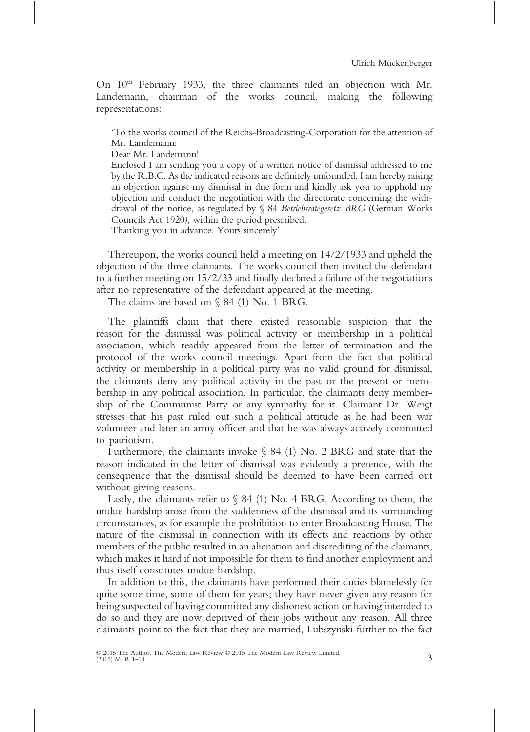On  $10^{th}$  February 1933, the three claimants filed an objection with Mr. Landemann, chairman of the works council, making the following representations:

'To the works council of the Reichs-Broadcasting-Corporation for the attention of Mr. Landemann:

Dear Mr. Landemann!

Enclosed I am sending you a copy of a written notice of dismissal addressed to me by the R.B.C. As the indicated reasons are definitely unfounded, I am hereby raising an objection against my dismissal in due form and kindly ask you to upphold my objection and conduct the negotiation with the directorate concerning the withdrawal of the notice, as regulated by § 84 *Betriebsrätegesetz BRG* (German Works Councils Act 1920*)*, within the period prescribed.

Thanking you in advance. Yours sincerely'

Thereupon, the works council held a meeting on 14/2/1933 and upheld the objection of the three claimants. The works council then invited the defendant to a further meeting on 15/2/33 and finally declared a failure of the negotiations after no representative of the defendant appeared at the meeting.

The claims are based on  $\S$  84 (1) No. 1 BRG.

The plaintiffs claim that there existed reasonable suspicion that the reason for the dismissal was political activity or membership in a political association, which readily appeared from the letter of termination and the protocol of the works council meetings. Apart from the fact that political activity or membership in a political party was no valid ground for dismissal, the claimants deny any political activity in the past or the present or membership in any political association. In particular, the claimants deny membership of the Communist Party or any sympathy for it. Claimant Dr. Weigt stresses that his past ruled out such a political attitude as he had been war volunteer and later an army officer and that he was always actively committed to patriotism.

Furthermore, the claimants invoke § 84 (1) No. 2 BRG and state that the reason indicated in the letter of dismissal was evidently a pretence, with the consequence that the dismissal should be deemed to have been carried out without giving reasons.

Lastly, the claimants refer to  $\S$  84 (1) No. 4 BRG. According to them, the undue hardship arose from the suddenness of the dismissal and its surrounding circumstances, as for example the prohibition to enter Broadcasting House. The nature of the dismissal in connection with its effects and reactions by other members of the public resulted in an alienation and discrediting of the claimants, which makes it hard if not impossible for them to find another employment and thus itself constitutes undue hardship.

In addition to this, the claimants have performed their duties blamelessly for quite some time, some of them for years; they have never given any reason for being suspected of having committed any dishonest action or having intended to do so and they are now deprived of their jobs without any reason. All three claimants point to the fact that they are married, Lubszynski further to the fact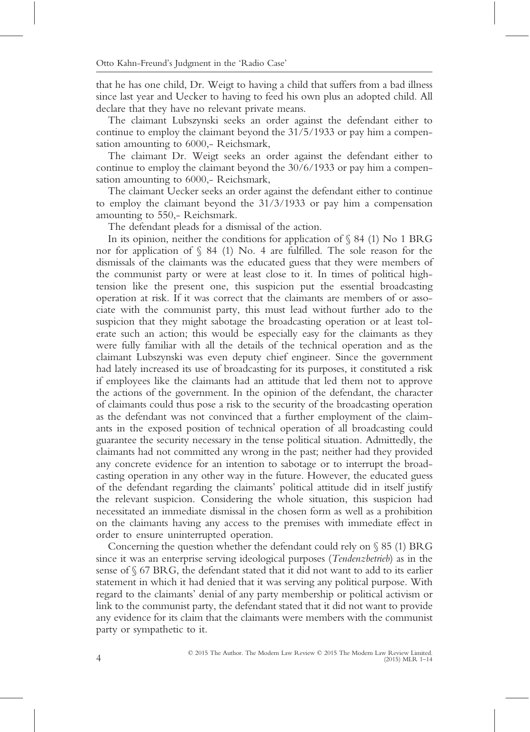that he has one child, Dr. Weigt to having a child that suffers from a bad illness since last year and Uecker to having to feed his own plus an adopted child. All declare that they have no relevant private means.

The claimant Lubszynski seeks an order against the defendant either to continue to employ the claimant beyond the 31/5/1933 or pay him a compensation amounting to 6000,- Reichsmark,

The claimant Dr. Weigt seeks an order against the defendant either to continue to employ the claimant beyond the 30/6/1933 or pay him a compensation amounting to 6000,- Reichsmark,

The claimant Uecker seeks an order against the defendant either to continue to employ the claimant beyond the 31/3/1933 or pay him a compensation amounting to 550,- Reichsmark.

The defendant pleads for a dismissal of the action.

In its opinion, neither the conditions for application of  $\S$  84 (1) No 1 BRG nor for application of  $\S$  84 (1) No. 4 are fulfilled. The sole reason for the dismissals of the claimants was the educated guess that they were members of the communist party or were at least close to it. In times of political hightension like the present one, this suspicion put the essential broadcasting operation at risk. If it was correct that the claimants are members of or associate with the communist party, this must lead without further ado to the suspicion that they might sabotage the broadcasting operation or at least tolerate such an action; this would be especially easy for the claimants as they were fully familiar with all the details of the technical operation and as the claimant Lubszynski was even deputy chief engineer. Since the government had lately increased its use of broadcasting for its purposes, it constituted a risk if employees like the claimants had an attitude that led them not to approve the actions of the government. In the opinion of the defendant, the character of claimants could thus pose a risk to the security of the broadcasting operation as the defendant was not convinced that a further employment of the claimants in the exposed position of technical operation of all broadcasting could guarantee the security necessary in the tense political situation. Admittedly, the claimants had not committed any wrong in the past; neither had they provided any concrete evidence for an intention to sabotage or to interrupt the broadcasting operation in any other way in the future. However, the educated guess of the defendant regarding the claimants' political attitude did in itself justify the relevant suspicion. Considering the whole situation, this suspicion had necessitated an immediate dismissal in the chosen form as well as a prohibition on the claimants having any access to the premises with immediate effect in order to ensure uninterrupted operation.

Concerning the question whether the defendant could rely on § 85 (1) BRG since it was an enterprise serving ideological purposes (*Tendenzbetrieb*) as in the sense of § 67 BRG, the defendant stated that it did not want to add to its earlier statement in which it had denied that it was serving any political purpose. With regard to the claimants' denial of any party membership or political activism or link to the communist party, the defendant stated that it did not want to provide any evidence for its claim that the claimants were members with the communist party or sympathetic to it.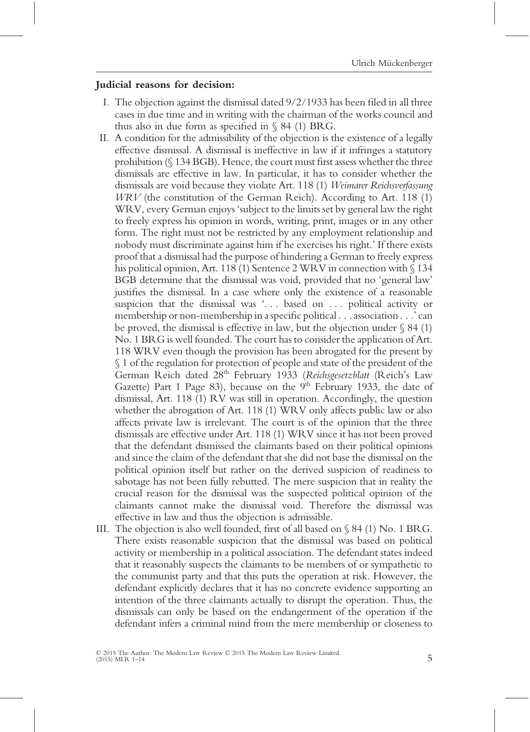### **Judicial reasons for decision:**

- I. The objection against the dismissal dated 9/2/1933 has been filed in all three cases in due time and in writing with the chairman of the works council and thus also in due form as specified in  $\S$  84 (1) BRG.
- II. A condition for the admissibility of the objection is the existence of a legally effective dismissal. A dismissal is ineffective in law if it infringes a statutory prohibition (§ 134 BGB). Hence, the court must first assess whether the three dismissals are effective in law. In particular, it has to consider whether the dismissals are void because they violate Art. 118 (1) *Weimarer Reichsverfassung WRV* (the constitution of the German Reich). According to Art. 118 (1) WRV, every German enjoys 'subject to the limits set by general law the right to freely express his opinion in words, writing, print, images or in any other form. The right must not be restricted by any employment relationship and nobody must discriminate against him if he exercises his right.' If there exists proof that a dismissal had the purpose of hindering a German to freely express his political opinion, Art. 118 (1) Sentence 2 WRV in connection with § 134 BGB determine that the dismissal was void, provided that no 'general law' justifies the dismissal. In a case where only the existence of a reasonable suspicion that the dismissal was '... based on ... political activity or membership or non-membership in a specific political . . . association . . .' can be proved, the dismissal is effective in law, but the objection under  $\S 84$  (1) No. 1 BRG is well founded. The court has to consider the application of Art. 118 WRV even though the provision has been abrogated for the present by § 1 of the regulation for protection of people and state of the president of the German Reich dated 28th February 1933 (*Reichsgesetzblatt* (Reich's Law Gazette) Part 1 Page 83), because on the  $9<sup>th</sup>$  February 1933, the date of dismissal, Art. 118 (1) RV was still in operation. Accordingly, the question whether the abrogation of Art. 118 (1) WRV only affects public law or also affects private law is irrelevant. The court is of the opinion that the three dismissals are effective under Art. 118 (1) WRV since it has not been proved that the defendant dismissed the claimants based on their political opinions and since the claim of the defendant that she did not base the dismissal on the political opinion itself but rather on the derived suspicion of readiness to sabotage has not been fully rebutted. The mere suspicion that in reality the crucial reason for the dismissal was the suspected political opinion of the claimants cannot make the dismissal void. Therefore the dismissal was effective in law and thus the objection is admissible.
- III. The objection is also well founded, first of all based on § 84 (1) No. 1 BRG. There exists reasonable suspicion that the dismissal was based on political activity or membership in a political association. The defendant states indeed that it reasonably suspects the claimants to be members of or sympathetic to the communist party and that this puts the operation at risk. However, the defendant explicitly declares that it has no concrete evidence supporting an intention of the three claimants actually to disrupt the operation. Thus, the dismissals can only be based on the endangerment of the operation if the defendant infers a criminal mind from the mere membership or closeness to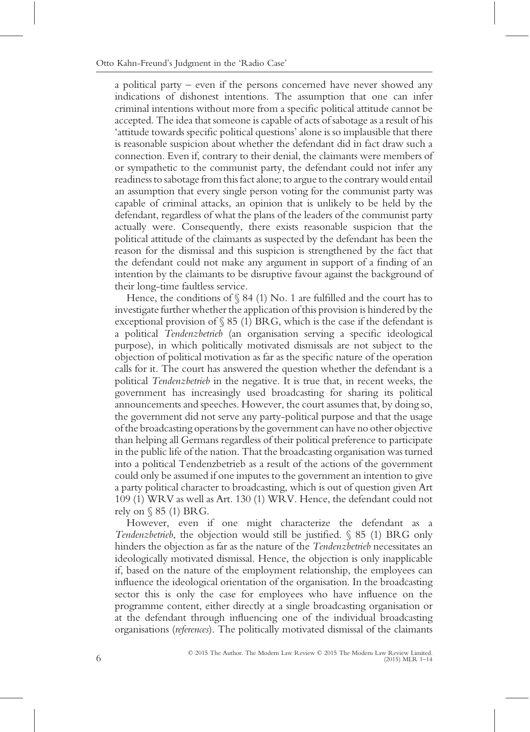a political party – even if the persons concerned have never showed any indications of dishonest intentions. The assumption that one can infer criminal intentions without more from a specific political attitude cannot be accepted. The idea that someone is capable of acts of sabotage as a result of his 'attitude towards specific political questions' alone is so implausible that there is reasonable suspicion about whether the defendant did in fact draw such a connection. Even if, contrary to their denial, the claimants were members of or sympathetic to the communist party, the defendant could not infer any readiness to sabotage from this fact alone; to argue to the contrary would entail an assumption that every single person voting for the communist party was capable of criminal attacks, an opinion that is unlikely to be held by the defendant, regardless of what the plans of the leaders of the communist party actually were. Consequently, there exists reasonable suspicion that the political attitude of the claimants as suspected by the defendant has been the reason for the dismissal and this suspicion is strengthened by the fact that the defendant could not make any argument in support of a finding of an intention by the claimants to be disruptive favour against the background of their long-time faultless service.

Hence, the conditions of  $\S 84$  (1) No. 1 are fulfilled and the court has to investigate further whether the application of this provision is hindered by the exceptional provision of  $\S 85$  (1) BRG, which is the case if the defendant is a political *Tendenzbetrieb* (an organisation serving a specific ideological purpose), in which politically motivated dismissals are not subject to the objection of political motivation as far as the specific nature of the operation calls for it. The court has answered the question whether the defendant is a political *Tendenzbetrieb* in the negative. It is true that, in recent weeks, the government has increasingly used broadcasting for sharing its political announcements and speeches. However, the court assumes that, by doing so, the government did not serve any party-political purpose and that the usage of the broadcasting operations by the government can have no other objective than helping all Germans regardless of their political preference to participate in the public life of the nation. That the broadcasting organisation was turned into a political Tendenzbetrieb as a result of the actions of the government could only be assumed if one imputes to the government an intention to give a party political character to broadcasting, which is out of question given Art 109 (1) WRV as well as Art. 130 (1) WRV. Hence, the defendant could not rely on  $\S 85$  (1) BRG.

However, even if one might characterize the defendant as a *Tendenzbetrieb*, the objection would still be justified. § 85 (1) BRG only hinders the objection as far as the nature of the *Tendenzbetrieb* necessitates an ideologically motivated dismissal. Hence, the objection is only inapplicable if, based on the nature of the employment relationship, the employees can influence the ideological orientation of the organisation. In the broadcasting sector this is only the case for employees who have influence on the programme content, either directly at a single broadcasting organisation or at the defendant through influencing one of the individual broadcasting organisations (*references*). The politically motivated dismissal of the claimants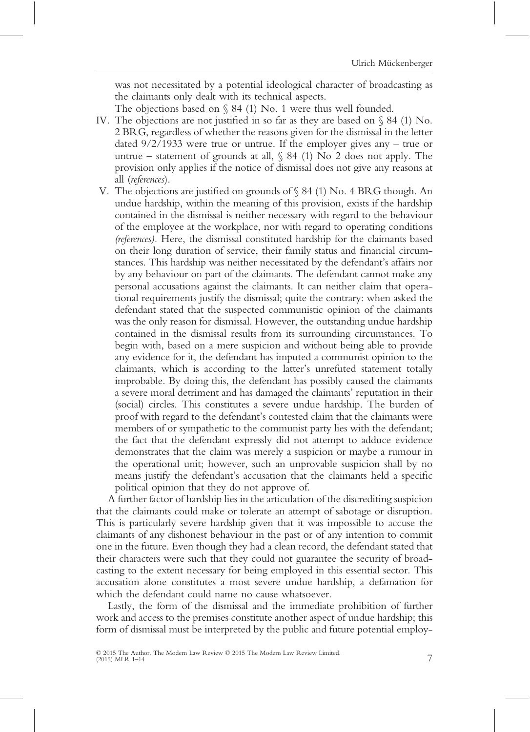was not necessitated by a potential ideological character of broadcasting as the claimants only dealt with its technical aspects.

The objections based on  $\S$  84 (1) No. 1 were thus well founded.

- IV. The objections are not justified in so far as they are based on § 84 (1) No. 2 BRG, regardless of whether the reasons given for the dismissal in the letter dated  $9/2/1933$  were true or untrue. If the employer gives any – true or untrue – statement of grounds at all,  $\S$  84 (1) No 2 does not apply. The provision only applies if the notice of dismissal does not give any reasons at all (*references*).
- V. The objections are justified on grounds of § 84 (1) No. 4 BRG though. An undue hardship, within the meaning of this provision, exists if the hardship contained in the dismissal is neither necessary with regard to the behaviour of the employee at the workplace, nor with regard to operating conditions *(references).* Here, the dismissal constituted hardship for the claimants based on their long duration of service, their family status and financial circumstances. This hardship was neither necessitated by the defendant's affairs nor by any behaviour on part of the claimants. The defendant cannot make any personal accusations against the claimants. It can neither claim that operational requirements justify the dismissal; quite the contrary: when asked the defendant stated that the suspected communistic opinion of the claimants was the only reason for dismissal. However, the outstanding undue hardship contained in the dismissal results from its surrounding circumstances. To begin with, based on a mere suspicion and without being able to provide any evidence for it, the defendant has imputed a communist opinion to the claimants, which is according to the latter's unrefuted statement totally improbable. By doing this, the defendant has possibly caused the claimants a severe moral detriment and has damaged the claimants' reputation in their (social) circles. This constitutes a severe undue hardship. The burden of proof with regard to the defendant's contested claim that the claimants were members of or sympathetic to the communist party lies with the defendant; the fact that the defendant expressly did not attempt to adduce evidence demonstrates that the claim was merely a suspicion or maybe a rumour in the operational unit; however, such an unprovable suspicion shall by no means justify the defendant's accusation that the claimants held a specific political opinion that they do not approve of.

A further factor of hardship lies in the articulation of the discrediting suspicion that the claimants could make or tolerate an attempt of sabotage or disruption. This is particularly severe hardship given that it was impossible to accuse the claimants of any dishonest behaviour in the past or of any intention to commit one in the future. Even though they had a clean record, the defendant stated that their characters were such that they could not guarantee the security of broadcasting to the extent necessary for being employed in this essential sector. This accusation alone constitutes a most severe undue hardship, a defamation for which the defendant could name no cause whatsoever.

Lastly, the form of the dismissal and the immediate prohibition of further work and access to the premises constitute another aspect of undue hardship; this form of dismissal must be interpreted by the public and future potential employ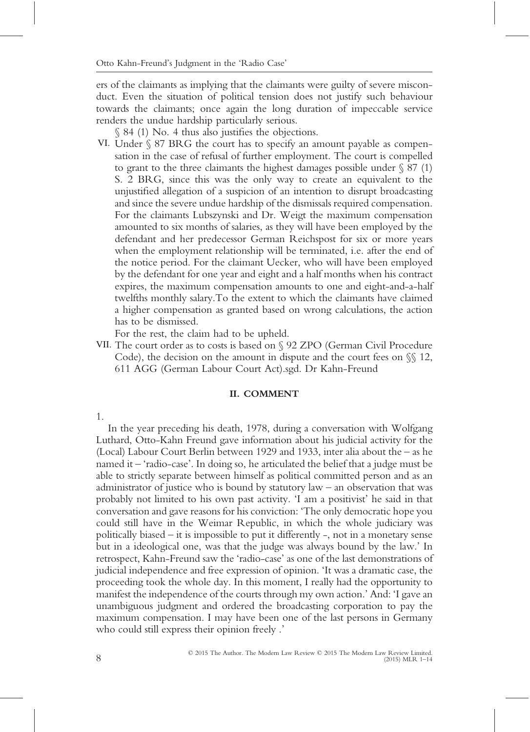ers of the claimants as implying that the claimants were guilty of severe misconduct. Even the situation of political tension does not justify such behaviour towards the claimants; once again the long duration of impeccable service renders the undue hardship particularly serious.

§ 84 (1) No. 4 thus also justifies the objections.

VI. Under § 87 BRG the court has to specify an amount payable as compensation in the case of refusal of further employment. The court is compelled to grant to the three claimants the highest damages possible under  $\S 87(1)$ S. 2 BRG, since this was the only way to create an equivalent to the unjustified allegation of a suspicion of an intention to disrupt broadcasting and since the severe undue hardship of the dismissals required compensation. For the claimants Lubszynski and Dr. Weigt the maximum compensation amounted to six months of salaries, as they will have been employed by the defendant and her predecessor German Reichspost for six or more years when the employment relationship will be terminated, i.e. after the end of the notice period. For the claimant Uecker, who will have been employed by the defendant for one year and eight and a half months when his contract expires, the maximum compensation amounts to one and eight-and-a-half twelfths monthly salary.To the extent to which the claimants have claimed a higher compensation as granted based on wrong calculations, the action has to be dismissed.

For the rest, the claim had to be upheld.

VII. The court order as to costs is based on § 92 ZPO (German Civil Procedure Code), the decision on the amount in dispute and the court fees on §§ 12, 611 AGG (German Labour Court Act).sgd. Dr Kahn-Freund

### **II. COMMENT**

1.

In the year preceding his death, 1978, during a conversation with Wolfgang Luthard, Otto-Kahn Freund gave information about his judicial activity for the (Local) Labour Court Berlin between 1929 and 1933, inter alia about the – as he named it – 'radio-case'. In doing so, he articulated the belief that a judge must be able to strictly separate between himself as political committed person and as an administrator of justice who is bound by statutory law – an observation that was probably not limited to his own past activity. 'I am a positivist' he said in that conversation and gave reasons for his conviction: 'The only democratic hope you could still have in the Weimar Republic, in which the whole judiciary was politically biased – it is impossible to put it differently -, not in a monetary sense but in a ideological one, was that the judge was always bound by the law.' In retrospect, Kahn-Freund saw the 'radio-case' as one of the last demonstrations of judicial independence and free expression of opinion. 'It was a dramatic case, the proceeding took the whole day. In this moment, I really had the opportunity to manifest the independence of the courts through my own action.' And: 'I gave an unambiguous judgment and ordered the broadcasting corporation to pay the maximum compensation. I may have been one of the last persons in Germany who could still express their opinion freely .'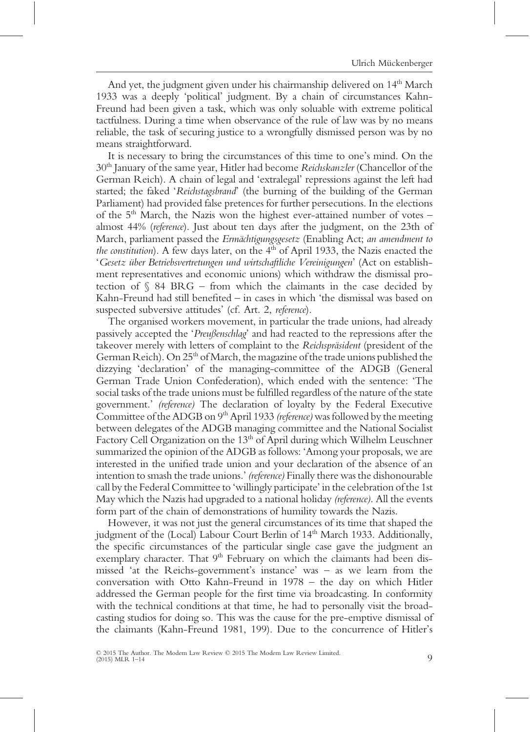And yet, the judgment given under his chairmanship delivered on 14<sup>th</sup> March 1933 was a deeply 'political' judgment. By a chain of circumstances Kahn-Freund had been given a task, which was only soluable with extreme political tactfulness. During a time when observance of the rule of law was by no means reliable, the task of securing justice to a wrongfully dismissed person was by no means straightforward.

It is necessary to bring the circumstances of this time to one's mind. On the 30th January of the same year, Hitler had become *Reichskanzler* (Chancellor of the German Reich). A chain of legal and 'extralegal' repressions against the left had started; the faked '*Reichstagsbrand*' (the burning of the building of the German Parliament) had provided false pretences for further persecutions. In the elections of the  $5<sup>th</sup>$  March, the Nazis won the highest ever-attained number of votes – almost 44% (*reference*). Just about ten days after the judgment, on the 23th of March, parliament passed the *Ermächtigungsgesetz* (Enabling Act; *an amendment to the constitution*). A few days later, on the  $4<sup>th</sup>$  of April 1933, the Nazis enacted the '*Gesetz über Betriebsvertretungen und wirtschaftliche Vereinigungen*' (Act on establishment representatives and economic unions) which withdraw the dismissal protection of  $\sqrt{84}$  BRG – from which the claimants in the case decided by Kahn-Freund had still benefited – in cases in which 'the dismissal was based on suspected subversive attitudes' (cf. Art. 2, *reference*).

The organised workers movement, in particular the trade unions, had already passively accepted the '*Preußenschlag*' and had reacted to the repressions after the takeover merely with letters of complaint to the *Reichspräsident* (president of the German Reich). On 25<sup>th</sup> of March, the magazine of the trade unions published the dizzying 'declaration' of the managing-committee of the ADGB (General German Trade Union Confederation), which ended with the sentence: 'The social tasks of the trade unions must be fulfilled regardless of the nature of the state government.' *(reference)* The declaration of loyalty by the Federal Executive Committee of the ADGB on 9<sup>th</sup> April 1933 (reference) was followed by the meeting between delegates of the ADGB managing committee and the National Socialist Factory Cell Organization on the  $13<sup>th</sup>$  of April during which Wilhelm Leuschner summarized the opinion of the ADGB as follows: 'Among your proposals, we are interested in the unified trade union and your declaration of the absence of an intention to smash the trade unions.' *(reference)* Finally there was the dishonourable call by the Federal Committee to 'willingly participate' in the celebration of the 1st May which the Nazis had upgraded to a national holiday *(reference)*. All the events form part of the chain of demonstrations of humility towards the Nazis.

However, it was not just the general circumstances of its time that shaped the judgment of the (Local) Labour Court Berlin of 14<sup>th</sup> March 1933. Additionally, the specific circumstances of the particular single case gave the judgment an exemplary character. That 9<sup>th</sup> February on which the claimants had been dismissed 'at the Reichs-government's instance' was – as we learn from the conversation with Otto Kahn-Freund in 1978 – the day on which Hitler addressed the German people for the first time via broadcasting. In conformity with the technical conditions at that time, he had to personally visit the broadcasting studios for doing so. This was the cause for the pre-emptive dismissal of the claimants (Kahn-Freund 1981, 199). Due to the concurrence of Hitler's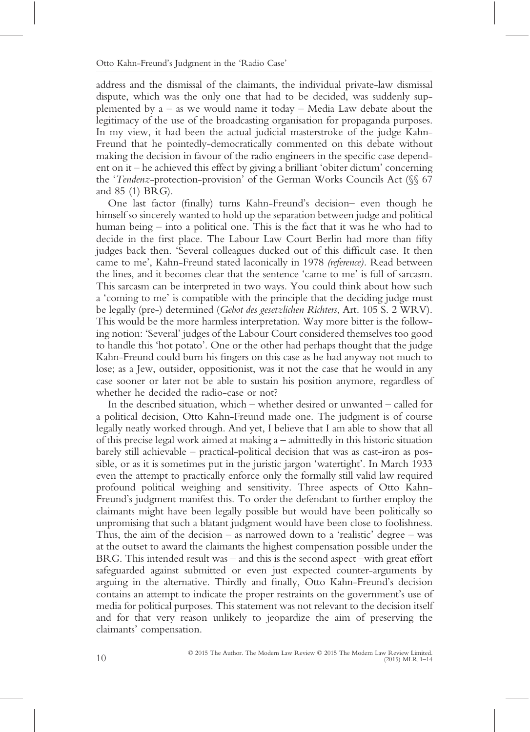address and the dismissal of the claimants, the individual private-law dismissal dispute, which was the only one that had to be decided, was suddenly supplemented by a – as we would name it today – Media Law debate about the legitimacy of the use of the broadcasting organisation for propaganda purposes. In my view, it had been the actual judicial masterstroke of the judge Kahn-Freund that he pointedly-democratically commented on this debate without making the decision in favour of the radio engineers in the specific case dependent on it – he achieved this effect by giving a brilliant 'obiter dictum' concerning the '*Tendenz*-protection-provision' of the German Works Councils Act (§§ 67 and 85 (1) BRG).

One last factor (finally) turns Kahn-Freund's decision– even though he himself so sincerely wanted to hold up the separation between judge and political human being – into a political one. This is the fact that it was he who had to decide in the first place. The Labour Law Court Berlin had more than fifty judges back then. 'Several colleagues ducked out of this difficult case. It then came to me', Kahn-Freund stated laconically in 1978 *(reference).* Read between the lines, and it becomes clear that the sentence 'came to me' is full of sarcasm. This sarcasm can be interpreted in two ways. You could think about how such a 'coming to me' is compatible with the principle that the deciding judge must be legally (pre-) determined (*Gebot des gesetzlichen Richters*, Art. 105 S. 2 WRV). This would be the more harmless interpretation. Way more bitter is the following notion: 'Several' judges of the Labour Court considered themselves too good to handle this 'hot potato'. One or the other had perhaps thought that the judge Kahn-Freund could burn his fingers on this case as he had anyway not much to lose; as a Jew, outsider, oppositionist, was it not the case that he would in any case sooner or later not be able to sustain his position anymore, regardless of whether he decided the radio-case or not?

In the described situation, which – whether desired or unwanted – called for a political decision, Otto Kahn-Freund made one. The judgment is of course legally neatly worked through. And yet, I believe that I am able to show that all of this precise legal work aimed at making a – admittedly in this historic situation barely still achievable – practical-political decision that was as cast-iron as possible, or as it is sometimes put in the juristic jargon 'watertight'. In March 1933 even the attempt to practically enforce only the formally still valid law required profound political weighing and sensitivity. Three aspects of Otto Kahn-Freund's judgment manifest this. To order the defendant to further employ the claimants might have been legally possible but would have been politically so unpromising that such a blatant judgment would have been close to foolishness. Thus, the aim of the decision – as narrowed down to a 'realistic' degree – was at the outset to award the claimants the highest compensation possible under the BRG. This intended result was – and this is the second aspect –with great effort safeguarded against submitted or even just expected counter-arguments by arguing in the alternative. Thirdly and finally, Otto Kahn-Freund's decision contains an attempt to indicate the proper restraints on the government's use of media for political purposes. This statement was not relevant to the decision itself and for that very reason unlikely to jeopardize the aim of preserving the claimants' compensation.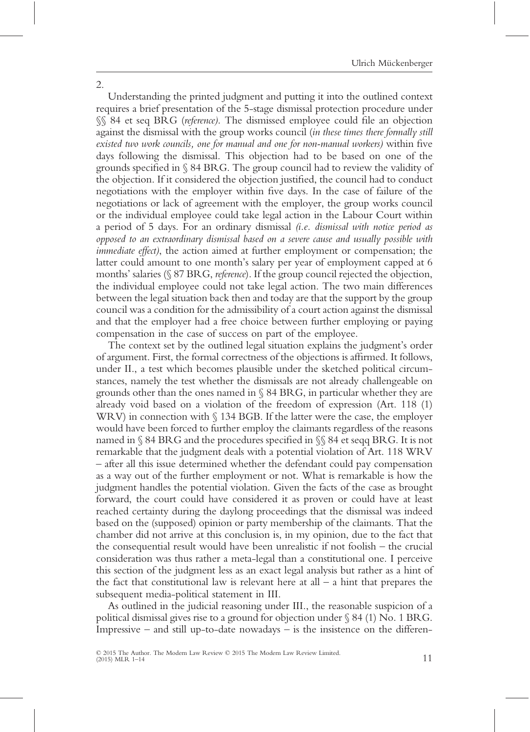Understanding the printed judgment and putting it into the outlined context requires a brief presentation of the 5-stage dismissal protection procedure under §§ 84 et seq BRG (*reference)*. The dismissed employee could file an objection against the dismissal with the group works council (*in these times there formally still existed two work councils, one for manual and one for non-manual workers)* within five days following the dismissal. This objection had to be based on one of the grounds specified in § 84 BRG. The group council had to review the validity of the objection. If it considered the objection justified, the council had to conduct negotiations with the employer within five days. In the case of failure of the negotiations or lack of agreement with the employer, the group works council or the individual employee could take legal action in the Labour Court within a period of 5 days. For an ordinary dismissal *(i.e. dismissal with notice period as opposed to an extraordinary dismissal based on a severe cause and usually possible with immediate effect)*, the action aimed at further employment or compensation; the latter could amount to one month's salary per year of employment capped at 6 months' salaries (§ 87 BRG, *reference*). If the group council rejected the objection, the individual employee could not take legal action. The two main differences between the legal situation back then and today are that the support by the group council was a condition for the admissibility of a court action against the dismissal and that the employer had a free choice between further employing or paying compensation in the case of success on part of the employee.

The context set by the outlined legal situation explains the judgment's order of argument. First, the formal correctness of the objections is affirmed. It follows, under II., a test which becomes plausible under the sketched political circumstances, namely the test whether the dismissals are not already challengeable on grounds other than the ones named in § 84 BRG, in particular whether they are already void based on a violation of the freedom of expression (Art. 118 (1) WRV) in connection with  $\S$  134 BGB. If the latter were the case, the employer would have been forced to further employ the claimants regardless of the reasons named in § 84 BRG and the procedures specified in §§ 84 et seqq BRG. It is not remarkable that the judgment deals with a potential violation of Art. 118 WRV – after all this issue determined whether the defendant could pay compensation as a way out of the further employment or not. What is remarkable is how the judgment handles the potential violation. Given the facts of the case as brought forward, the court could have considered it as proven or could have at least reached certainty during the daylong proceedings that the dismissal was indeed based on the (supposed) opinion or party membership of the claimants. That the chamber did not arrive at this conclusion is, in my opinion, due to the fact that the consequential result would have been unrealistic if not foolish – the crucial consideration was thus rather a meta-legal than a constitutional one. I perceive this section of the judgment less as an exact legal analysis but rather as a hint of the fact that constitutional law is relevant here at all  $-$  a hint that prepares the subsequent media-political statement in III.

As outlined in the judicial reasoning under III., the reasonable suspicion of a political dismissal gives rise to a ground for objection under  $\S$  84 (1) No. 1 BRG. Impressive – and still up-to-date nowadays – is the insistence on the differen-

2.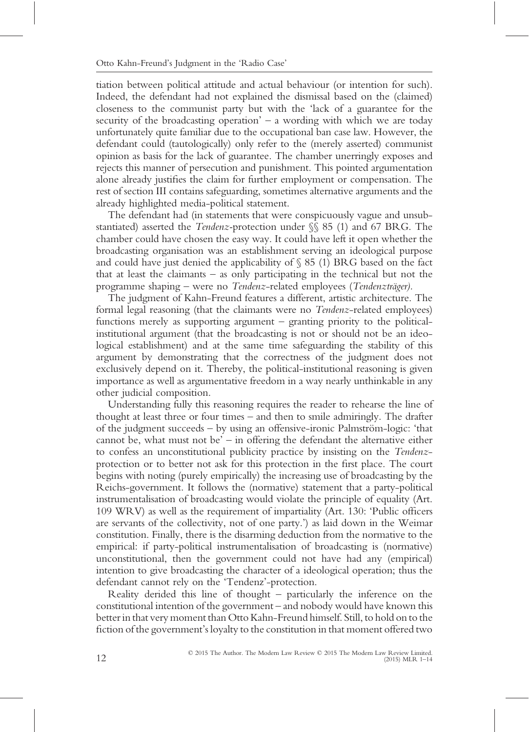tiation between political attitude and actual behaviour (or intention for such). Indeed, the defendant had not explained the dismissal based on the (claimed) closeness to the communist party but with the 'lack of a guarantee for the security of the broadcasting operation'  $-$  a wording with which we are today unfortunately quite familiar due to the occupational ban case law. However, the defendant could (tautologically) only refer to the (merely asserted) communist opinion as basis for the lack of guarantee. The chamber unerringly exposes and rejects this manner of persecution and punishment. This pointed argumentation alone already justifies the claim for further employment or compensation. The rest of section III contains safeguarding, sometimes alternative arguments and the already highlighted media-political statement.

The defendant had (in statements that were conspicuously vague and unsubstantiated) asserted the *Tendenz-*protection under §§ 85 (1) and 67 BRG. The chamber could have chosen the easy way. It could have left it open whether the broadcasting organisation was an establishment serving an ideological purpose and could have just denied the applicability of  $\S 85$  (1) BRG based on the fact that at least the claimants – as only participating in the technical but not the programme shaping – were no *Tendenz*-related employees (*Tendenzträger).*

The judgment of Kahn-Freund features a different, artistic architecture. The formal legal reasoning (that the claimants were no *Tendenz*-related employees) functions merely as supporting argument – granting priority to the politicalinstitutional argument (that the broadcasting is not or should not be an ideological establishment) and at the same time safeguarding the stability of this argument by demonstrating that the correctness of the judgment does not exclusively depend on it. Thereby, the political-institutional reasoning is given importance as well as argumentative freedom in a way nearly unthinkable in any other judicial composition.

Understanding fully this reasoning requires the reader to rehearse the line of thought at least three or four times – and then to smile admiringly. The drafter of the judgment succeeds – by using an offensive-ironic Palmström-logic: 'that cannot be, what must not be' – in offering the defendant the alternative either to confess an unconstitutional publicity practice by insisting on the *Tendenz*protection or to better not ask for this protection in the first place. The court begins with noting (purely empirically) the increasing use of broadcasting by the Reichs-government. It follows the (normative) statement that a party-political instrumentalisation of broadcasting would violate the principle of equality (Art. 109 WRV) as well as the requirement of impartiality (Art. 130: 'Public officers are servants of the collectivity, not of one party.') as laid down in the Weimar constitution. Finally, there is the disarming deduction from the normative to the empirical: if party-political instrumentalisation of broadcasting is (normative) unconstitutional, then the government could not have had any (empirical) intention to give broadcasting the character of a ideological operation; thus the defendant cannot rely on the 'Tendenz'-protection.

Reality derided this line of thought – particularly the inference on the constitutional intention of the government – and nobody would have known this better in that very moment than Otto Kahn-Freund himself. Still, to hold on to the fiction of the government's loyalty to the constitution in that moment offered two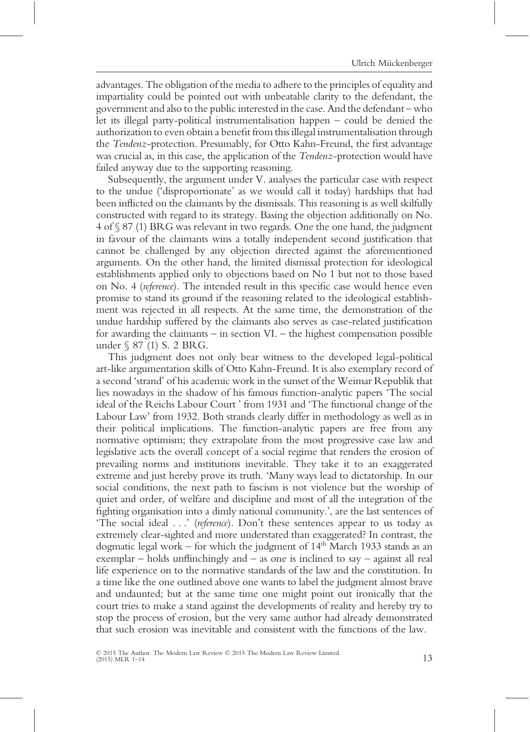advantages. The obligation of the media to adhere to the principles of equality and impartiality could be pointed out with unbeatable clarity to the defendant, the government and also to the public interested in the case. And the defendant – who let its illegal party-political instrumentalisation happen – could be denied the authorization to even obtain a benefit from this illegal instrumentalisation through the *Tendenz*-protection. Presumably, for Otto Kahn-Freund, the first advantage was crucial as, in this case, the application of the *Tendenz*-protection would have failed anyway due to the supporting reasoning.

Subsequently, the argument under V. analyses the particular case with respect to the undue ('disproportionate' as we would call it today) hardships that had been inflicted on the claimants by the dismissals. This reasoning is as well skilfully constructed with regard to its strategy. Basing the objection additionally on No. 4 of § 87 (1) BRG was relevant in two regards. One the one hand, the judgment in favour of the claimants wins a totally independent second justification that cannot be challenged by any objection directed against the aforementioned arguments. On the other hand, the limited dismissal protection for ideological establishments applied only to objections based on No 1 but not to those based on No. 4 (*reference*). The intended result in this specific case would hence even promise to stand its ground if the reasoning related to the ideological establishment was rejected in all respects. At the same time, the demonstration of the undue hardship suffered by the claimants also serves as case-related justification for awarding the claimants – in section VI. – the highest compensation possible under § 87 (1) S. 2 BRG.

This judgment does not only bear witness to the developed legal-political art-like argumentation skills of Otto Kahn-Freund. It is also exemplary record of a second 'strand' of his academic work in the sunset of the Weimar Republik that lies nowadays in the shadow of his famous function-analytic papers 'The social ideal of the Reichs Labour Court ' from 1931 and 'The functional change of the Labour Law' from 1932. Both strands clearly differ in methodology as well as in their political implications. The function-analytic papers are free from any normative optimism; they extrapolate from the most progressive case law and legislative acts the overall concept of a social regime that renders the erosion of prevailing norms and institutions inevitable. They take it to an exaggerated extreme and just hereby prove its truth. 'Many ways lead to dictatorship. In our social conditions, the next path to fascism is not violence but the worship of quiet and order, of welfare and discipline and most of all the integration of the fighting organisation into a dimly national community.', are the last sentences of 'The social ideal . . .' (*reference*). Don't these sentences appear to us today as extremely clear-sighted and more understated than exaggerated? In contrast, the dogmatic legal work – for which the judgment of  $14<sup>th</sup>$  March 1933 stands as an exemplar – holds unflinchingly and – as one is inclined to say – against all real life experience on to the normative standards of the law and the constitution. In a time like the one outlined above one wants to label the judgment almost brave and undaunted; but at the same time one might point out ironically that the court tries to make a stand against the developments of reality and hereby try to stop the process of erosion, but the very same author had already demonstrated that such erosion was inevitable and consistent with the functions of the law.